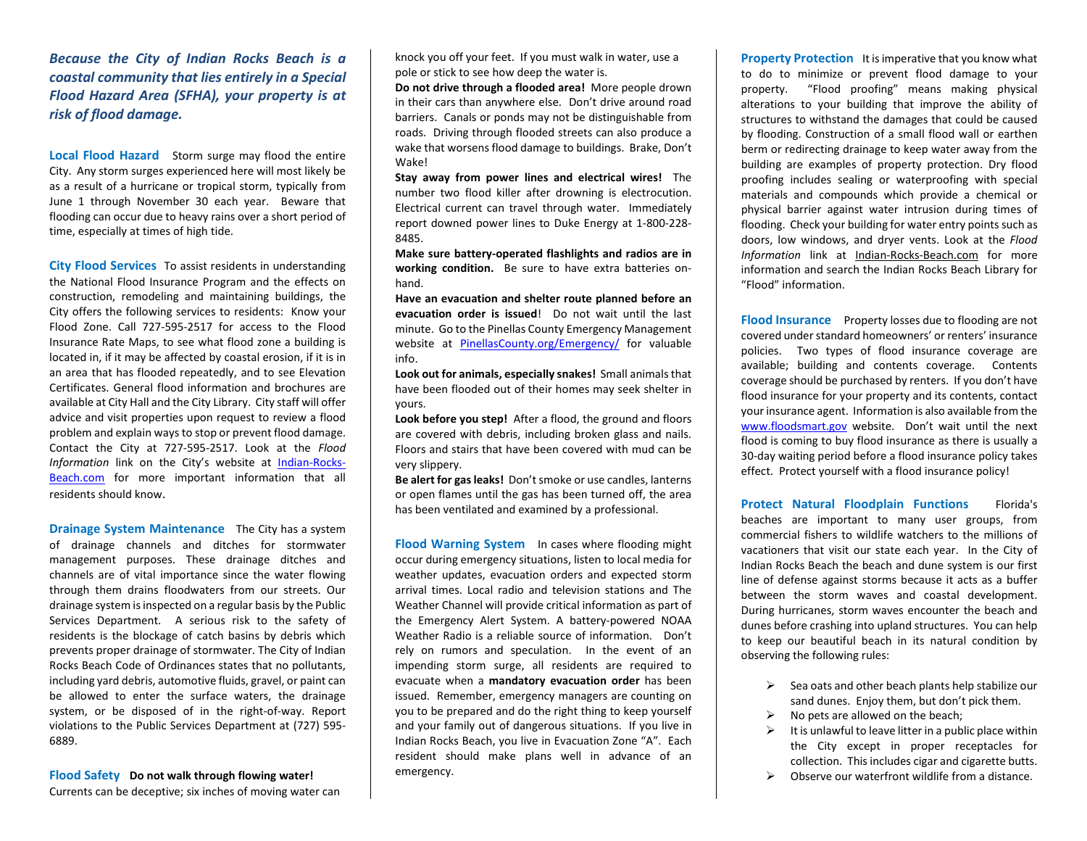## *Because the City of Indian Rocks Beach is a coastal community that lies entirely in a Special Flood Hazard Area (SFHA), your property is at risk of flood damage.*

**Local Flood Hazard** Storm surge may flood the entire City. Any storm surges experienced here will most likely be as a result of a hurricane or tropical storm, typically from June 1 through November 30 each year. Beware that flooding can occur due to heavy rains over a short period of time, especially at times of high tide.

**City Flood Services** To assist residents in understanding the National Flood Insurance Program and the effects on construction, remodeling and maintaining buildings, the City offers the following services to residents: Know your Flood Zone. Call 727-595-2517 for access to the Flood Insurance Rate Maps, to see what flood zone a building is located in, if it may be affected by coastal erosion, if it is in an area that has flooded repeatedly, and to see Elevation Certificates. General flood information and brochures are available at City Hall and the City Library. City staff will offer advice and visit properties upon request to review a flood problem and explain ways to stop or prevent flood damage. Contact the City at 727-595-2517. Look at the *Flood Information* link on the City's website at [Indian-Rocks-](http://www.indian-rocks-beach.com/)[Beach.com](http://www.indian-rocks-beach.com/) for more important information that all residents should know.

**Drainage System Maintenance** The City has a system of drainage channels and ditches for stormwater management purposes. These drainage ditches and channels are of vital importance since the water flowing through them drains floodwaters from our streets. Our drainage system is inspected on a regular basis by the Public Services Department. A serious risk to the safety of residents is the blockage of catch basins by debris which prevents proper drainage of stormwater. The City of Indian Rocks Beach Code of Ordinances states that no pollutants, including yard debris, automotive fluids, gravel, or paint can be allowed to enter the surface waters, the drainage system, or be disposed of in the right-of-way. Report violations to the Public Services Department at (727) 595- 6889.

**Flood Safety Do not walk through flowing water!** 

Currents can be deceptive; six inches of moving water can

knock you off your feet. If you must walk in water, use a pole or stick to see how deep the water is.

**Do not drive through a flooded area!** More people drown in their cars than anywhere else. Don't drive around road barriers. Canals or ponds may not be distinguishable from roads. Driving through flooded streets can also produce a wake that worsens flood damage to buildings. Brake, Don't Wake!

**Stay away from power lines and electrical wires!** The number two flood killer after drowning is electrocution. Electrical current can travel through water. Immediately report downed power lines to Duke Energy at 1-800-228- 8485.

**Make sure battery-operated flashlights and radios are in working condition.** Be sure to have extra batteries onhand.

**Have an evacuation and shelter route planned before an evacuation order is issued**! Do not wait until the last minute. Go to the Pinellas County Emergency Management website at [PinellasCounty.org/Emergency/](http://www.pinellascounty.org/Emergency/) for valuable info.

**Look out for animals, especially snakes!** Small animals that have been flooded out of their homes may seek shelter in yours.

**Look before you step!** After a flood, the ground and floors are covered with debris, including broken glass and nails. Floors and stairs that have been covered with mud can be very slippery.

**Be alert for gas leaks!** Don't smoke or use candles, lanterns or open flames until the gas has been turned off, the area has been ventilated and examined by a professional.

**Flood Warning System** In cases where flooding might occur during emergency situations, listen to local media for weather updates, evacuation orders and expected storm arrival times. Local radio and television stations and The Weather Channel will provide critical information as part of the Emergency Alert System. A battery-powered NOAA Weather Radio is a reliable source of information. Don't rely on rumors and speculation. In the event of an impending storm surge, all residents are required to evacuate when a **mandatory evacuation order** has been issued. Remember, emergency managers are counting on you to be prepared and do the right thing to keep yourself and your family out of dangerous situations. If you live in Indian Rocks Beach, you live in Evacuation Zone "A". Each resident should make plans well in advance of an emergency.

**Property Protection** It is imperative that you know what to do to minimize or prevent flood damage to your property. "Flood proofing" means making physical alterations to your building that improve the ability of structures to withstand the damages that could be caused by flooding. Construction of a small flood wall or earthen berm or redirecting drainage to keep water away from the building are examples of property protection. Dry flood proofing includes sealing or waterproofing with special materials and compounds which provide a chemical or physical barrier against water intrusion during times of flooding. Check your building for water entry points such as doors, low windows, and dryer vents. Look at the *Flood Information* link at Indian-Rocks-Beach.com for more information and search the Indian Rocks Beach Library for "Flood" information.

**Flood Insurance** Property losses due to flooding are not covered under standard homeowners' or renters' insurance policies. Two types of flood insurance coverage are available; building and contents coverage. Contents coverage should be purchased by renters. If you don't have flood insurance for your property and its contents, contact your insurance agent. Information is also available from the [www.floodsmart.gov](http://www.floodsmart.gov/) website. Don't wait until the next flood is coming to buy flood insurance as there is usually a 30-day waiting period before a flood insurance policy takes effect. Protect yourself with a flood insurance policy!

**Protect Natural Floodplain Functions** Florida's beaches are important to many user groups, from commercial fishers to wildlife watchers to the millions of vacationers that visit our state each year. In the City of Indian Rocks Beach the beach and dune system is our first line of defense against storms because it acts as a buffer between the storm waves and coastal development. During hurricanes, storm waves encounter the beach and dunes before crashing into upland structures. You can help to keep our beautiful beach in its natural condition by observing the following rules:

- $\triangleright$  Sea oats and other beach plants help stabilize our sand dunes. Enjoy them, but don't pick them.
- $\triangleright$  No pets are allowed on the beach:
- $\triangleright$  It is unlawful to leave litter in a public place within the City except in proper receptacles for collection. This includes cigar and cigarette butts.
- $\triangleright$  Observe our waterfront wildlife from a distance.